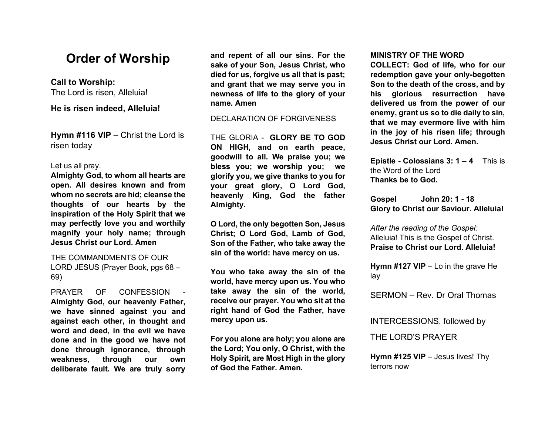# **Order of Worship**

# **Call to Worship:**

The Lord is risen, Alleluia!

**He is risen indeed, Alleluia!** 

**Hymn #116 VIP** – Christ the Lord is risen today

## Let us all pray.

**Almighty God, to whom all hearts are open. All desires known and from whom no secrets are hid; cleanse the thoughts of our hearts by the inspiration of the Holy Spirit that we may perfectly love you and worthily magnify your holy name; through Jesus Christ our Lord. Amen**

THE COMMANDMENTS OF OUR LORD JESUS (Prayer Book, pgs 68 – 69)

PRAYER OF CONFESSION **Almighty God, our heavenly Father, we have sinned against you and against each other, in thought and word and deed, in the evil we have done and in the good we have not done through ignorance, through weakness, through our own deliberate fault. We are truly sorry**  **and repent of all our sins. For the sake of your Son, Jesus Christ, who died for us, forgive us all that is past; and grant that we may serve you in newness of life to the glory of your name. Amen**

DECLARATION OF FORGIVENESS

THE GLORIA - **GLORY BE TO GOD ON HIGH, and on earth peace, goodwill to all. We praise you; we bless you; we worship you; we glorify you, we give thanks to you for your great glory, O Lord God, heavenly King, God the father Almighty.**

**O Lord, the only begotten Son, Jesus Christ; O Lord God, Lamb of God, Son of the Father, who take away the sin of the world: have mercy on us.**

**You who take away the sin of the world, have mercy upon us. You who take away the sin of the world, receive our prayer. You who sit at the right hand of God the Father, have mercy upon us.**

**For you alone are holy; you alone are the Lord; You only, O Christ, with the Holy Spirit, are Most High in the glory of God the Father. Amen.**

#### **MINISTRY OF THE WORD**

**COLLECT: God of life, who for our redemption gave your only-begotten Son to the death of the cross, and by his glorious resurrection have delivered us from the power of our enemy, grant us so to die daily to sin, that we may evermore live with him in the joy of his risen life; through Jesus Christ our Lord. Amen.**

**Epistle - Colossians 3: 1 – 4** This is the Word of the Lord **Thanks be to God.**

**Gospel John 20: 1 - 18 Glory to Christ our Saviour. Alleluia!**

*After the reading of the Gospel:* Alleluia! This is the Gospel of Christ. **Praise to Christ our Lord. Alleluia!**

**Hymn #127 VIP** – Lo in the grave He lay

SERMON – Rev. Dr Oral Thomas

INTERCESSIONS, followed by

THE LORD'S PRAYER

**Hymn #125 VIP** – Jesus lives! Thy terrors now